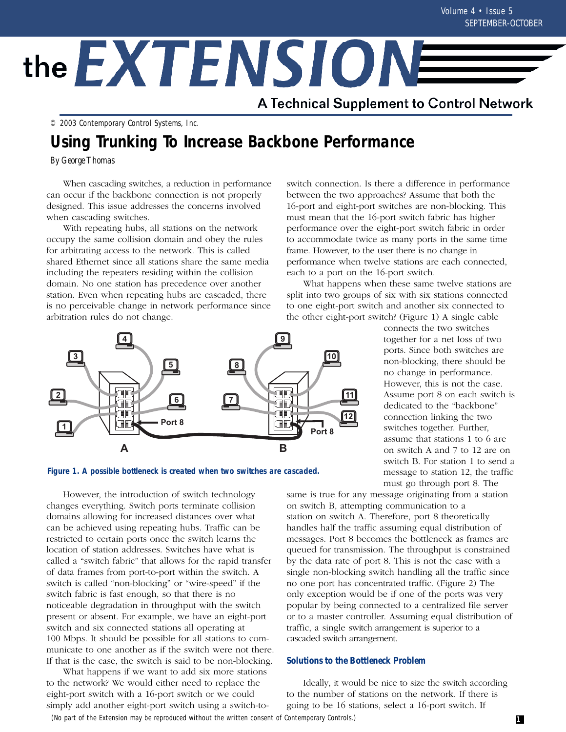# the EXTENSIONE

A Technical Supplement to Control Network

© 2003 Contemporary Control Systems, Inc.

# **Using Trunking To Increase Backbone Performance**

*By George Thomas*

When cascading switches, a reduction in performance can occur if the backbone connection is not properly designed. This issue addresses the concerns involved when cascading switches.

With repeating hubs, all stations on the network occupy the same collision domain and obey the rules for arbitrating access to the network. This is called shared Ethernet since all stations share the same media including the repeaters residing within the collision domain. No one station has precedence over another station. Even when repeating hubs are cascaded, there is no perceivable change in network performance since arbitration rules do not change.

switch connection. Is there a difference in performance between the two approaches? Assume that both the 16-port and eight-port switches are non-blocking. This must mean that the 16-port switch fabric has higher performance over the eight-port switch fabric in order to accommodate twice as many ports in the same time frame. However, to the user there is no change in performance when twelve stations are each connected, each to a port on the 16-port switch.

What happens when these same twelve stations are split into two groups of six with six stations connected to one eight-port switch and another six connected to the other eight-port switch? (Figure 1) A single cable





However, the introduction of switch technology changes everything. Switch ports terminate collision domains allowing for increased distances over what can be achieved using repeating hubs. Traffic can be restricted to certain ports once the switch learns the location of station addresses. Switches have what is called a "switch fabric" that allows for the rapid transfer of data frames from port-to-port within the switch. A switch is called "non-blocking" or "wire-speed" if the switch fabric is fast enough, so that there is no noticeable degradation in throughput with the switch present or absent. For example, we have an eight-port switch and six connected stations all operating at 100 Mbps. It should be possible for all stations to communicate to one another as if the switch were not there. If that is the case, the switch is said to be non-blocking.

What happens if we want to add six more stations to the network? We would either need to replace the eight-port switch with a 16-port switch or we could simply add another eight-port switch using a switch-toconnects the two switches together for a net loss of two ports. Since both switches are non-blocking, there should be no change in performance. However, this is not the case. Assume port 8 on each switch is dedicated to the "backbone" connection linking the two switches together. Further, assume that stations 1 to 6 are on switch A and 7 to 12 are on switch B. For station 1 to send a message to station 12, the traffic must go through port 8. The

same is true for any message originating from a station on switch B, attempting communication to a station on switch A. Therefore, port 8 theoretically handles half the traffic assuming equal distribution of messages. Port 8 becomes the bottleneck as frames are queued for transmission. The throughput is constrained by the data rate of port 8. This is not the case with a single non-blocking switch handling all the traffic since no one port has concentrated traffic. (Figure 2) The only exception would be if one of the ports was very popular by being connected to a centralized file server or to a master controller. Assuming equal distribution of traffic, a single switch arrangement is superior to a cascaded switch arrangement.

#### **Solutions to the Bottleneck Problem**

Ideally, it would be nice to size the switch according to the number of stations on the network. If there is going to be 16 stations, select a 16-port switch. If

(No part of the Extension may be reproduced without the written consent of Contemporary Controls.)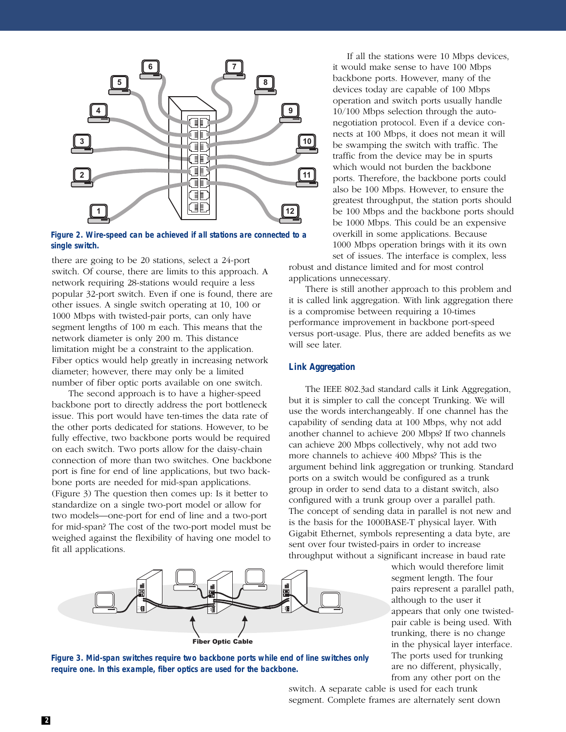

**Figure 2. Wire-speed can be achieved if all stations are connected to a single switch.**

there are going to be 20 stations, select a 24-port switch. Of course, there are limits to this approach. A network requiring 28-stations would require a less popular 32-port switch. Even if one is found, there are other issues. A single switch operating at 10, 100 or 1000 Mbps with twisted-pair ports, can only have segment lengths of 100 m each. This means that the network diameter is only 200 m. This distance limitation might be a constraint to the application. Fiber optics would help greatly in increasing network diameter; however, there may only be a limited number of fiber optic ports available on one switch.

The second approach is to have a higher-speed backbone port to directly address the port bottleneck issue. This port would have ten-times the data rate of the other ports dedicated for stations. However, to be fully effective, two backbone ports would be required on each switch. Two ports allow for the daisy-chain connection of more than two switches. One backbone port is fine for end of line applications, but two backbone ports are needed for mid-span applications. (Figure 3) The question then comes up: Is it better to standardize on a single two-port model or allow for two models—one-port for end of line and a two-port for mid-span? The cost of the two-port model must be weighed against the flexibility of having one model to fit all applications.

If all the stations were 10 Mbps devices, it would make sense to have 100 Mbps backbone ports. However, many of the devices today are capable of 100 Mbps operation and switch ports usually handle 10/100 Mbps selection through the autonegotiation protocol. Even if a device connects at 100 Mbps, it does not mean it will be swamping the switch with traffic. The traffic from the device may be in spurts which would not burden the backbone ports. Therefore, the backbone ports could also be 100 Mbps. However, to ensure the greatest throughput, the station ports should be 100 Mbps and the backbone ports should be 1000 Mbps. This could be an expensive overkill in some applications. Because 1000 Mbps operation brings with it its own set of issues. The interface is complex, less

robust and distance limited and for most control applications unnecessary.

There is still another approach to this problem and it is called link aggregation. With link aggregation there is a compromise between requiring a 10-times performance improvement in backbone port-speed versus port-usage. Plus, there are added benefits as we will see later.

## **Link Aggregation**

The IEEE 802.3ad standard calls it Link Aggregation, but it is simpler to call the concept Trunking. We will use the words interchangeably. If one channel has the capability of sending data at 100 Mbps, why not add another channel to achieve 200 Mbps? If two channels can achieve 200 Mbps collectively, why not add two more channels to achieve 400 Mbps? This is the argument behind link aggregation or trunking. Standard ports on a switch would be configured as a trunk group in order to send data to a distant switch, also configured with a trunk group over a parallel path. The concept of sending data in parallel is not new and is the basis for the 1000BASE-T physical layer. With Gigabit Ethernet, symbols representing a data byte, are sent over four twisted-pairs in order to increase throughput without a significant increase in baud rate



which would therefore limit segment length. The four pairs represent a parallel path, although to the user it appears that only one twistedpair cable is being used. With trunking, there is no change in the physical layer interface. The ports used for trunking are no different, physically, from any other port on the



switch. A separate cable is used for each trunk segment. Complete frames are alternately sent down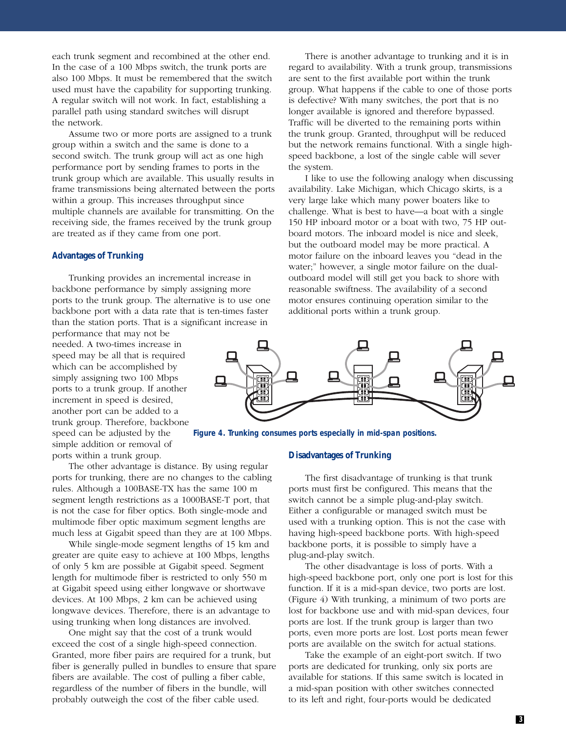each trunk segment and recombined at the other end. In the case of a 100 Mbps switch, the trunk ports are also 100 Mbps. It must be remembered that the switch used must have the capability for supporting trunking. A regular switch will not work. In fact, establishing a parallel path using standard switches will disrupt the network.

Assume two or more ports are assigned to a trunk group within a switch and the same is done to a second switch. The trunk group will act as one high performance port by sending frames to ports in the trunk group which are available. This usually results in frame transmissions being alternated between the ports within a group. This increases throughput since multiple channels are available for transmitting. On the receiving side, the frames received by the trunk group are treated as if they came from one port.

#### **Advantages of Trunking**

Trunking provides an incremental increase in backbone performance by simply assigning more ports to the trunk group. The alternative is to use one backbone port with a data rate that is ten-times faster than the station ports. That is a significant increase in

performance that may not be needed. A two-times increase in speed may be all that is required which can be accomplished by simply assigning two 100 Mbps ports to a trunk group. If another increment in speed is desired, another port can be added to a trunk group. Therefore, backbone speed can be adjusted by the simple addition or removal of

ports within a trunk group.

The other advantage is distance. By using regular ports for trunking, there are no changes to the cabling rules. Although a 100BASE-TX has the same 100 m segment length restrictions as a 1000BASE-T port, that is not the case for fiber optics. Both single-mode and multimode fiber optic maximum segment lengths are much less at Gigabit speed than they are at 100 Mbps.

While single-mode segment lengths of 15 km and greater are quite easy to achieve at 100 Mbps, lengths of only 5 km are possible at Gigabit speed. Segment length for multimode fiber is restricted to only 550 m at Gigabit speed using either longwave or shortwave devices. At 100 Mbps, 2 km can be achieved using longwave devices. Therefore, there is an advantage to using trunking when long distances are involved.

One might say that the cost of a trunk would exceed the cost of a single high-speed connection. Granted, more fiber pairs are required for a trunk, but fiber is generally pulled in bundles to ensure that spare fibers are available. The cost of pulling a fiber cable, regardless of the number of fibers in the bundle, will probably outweigh the cost of the fiber cable used.

There is another advantage to trunking and it is in regard to availability. With a trunk group, transmissions are sent to the first available port within the trunk group. What happens if the cable to one of those ports is defective? With many switches, the port that is no longer available is ignored and therefore bypassed. Traffic will be diverted to the remaining ports within the trunk group. Granted, throughput will be reduced but the network remains functional. With a single highspeed backbone, a lost of the single cable will sever the system.

I like to use the following analogy when discussing availability. Lake Michigan, which Chicago skirts, is a very large lake which many power boaters like to challenge. What is best to have—a boat with a single 150 HP inboard motor or a boat with two, 75 HP outboard motors. The inboard model is nice and sleek, but the outboard model may be more practical. A motor failure on the inboard leaves you "dead in the water;" however, a single motor failure on the dualoutboard model will still get you back to shore with reasonable swiftness. The availability of a second motor ensures continuing operation similar to the additional ports within a trunk group.



**Figure 4. Trunking consumes ports especially in mid-span positions.**

#### **Disadvantages of Trunking**

The first disadvantage of trunking is that trunk ports must first be configured. This means that the switch cannot be a simple plug-and-play switch. Either a configurable or managed switch must be used with a trunking option. This is not the case with having high-speed backbone ports. With high-speed backbone ports, it is possible to simply have a plug-and-play switch.

The other disadvantage is loss of ports. With a high-speed backbone port, only one port is lost for this function. If it is a mid-span device, two ports are lost. (Figure 4) With trunking, a minimum of two ports are lost for backbone use and with mid-span devices, four ports are lost. If the trunk group is larger than two ports, even more ports are lost. Lost ports mean fewer ports are available on the switch for actual stations.

Take the example of an eight-port switch. If two ports are dedicated for trunking, only six ports are available for stations. If this same switch is located in a mid-span position with other switches connected to its left and right, four-ports would be dedicated